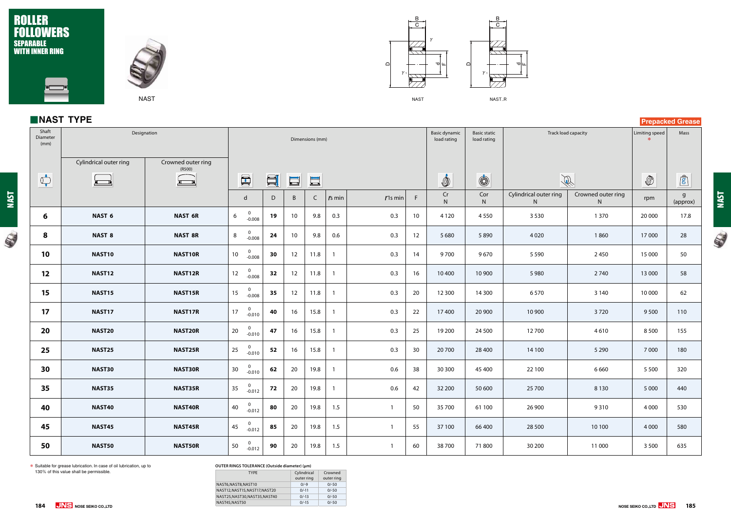$\mathbb{Q}$ 

## ROLLER FOLLOWERS SEPARABLE WITH INNER RING



#### **OUTER RINGS TOLERANCE (Outside diameter) (μm)**

| <b>TYPE</b>                 | Cylindrical<br>outer ring | Crowned<br>outer ring |
|-----------------------------|---------------------------|-----------------------|
| NAST6,NAST8,NAST10          | $0/-9$                    | $0/-50$               |
| NAST12,NAST15,NAST17,NAST20 | $0/-11$                   | $0/-50$               |
| NAST25,NAST30,NAST35,NAST40 | $0/-13$                   | $0/-50$               |
| NAST45,NAST50               | $0/-15$                   | $0/-50$               |
|                             |                           |                       |



NAST

**NOSE SEIKO CO.,LTD 185**







\* Suitable for grease lubrication. In case of oil lubrication, up to 130% of this value shall be permissible.

|                           | NAST TYPE<br><b>Prepacked Grease</b> |                                    |                                                                                                    |    |    |      |                |              |                 |                                     |                                    |                                        |               |                              |          |
|---------------------------|--------------------------------------|------------------------------------|----------------------------------------------------------------------------------------------------|----|----|------|----------------|--------------|-----------------|-------------------------------------|------------------------------------|----------------------------------------|---------------|------------------------------|----------|
| Shaft<br>Diameter<br>(mm) | Designation                          |                                    | Dimensions (mm)                                                                                    |    |    |      |                |              |                 | <b>Basic dynamic</b><br>load rating | <b>Basic static</b><br>load rating | Track load capacity                    |               | Limiting speed               | Mass     |
| $\bigcirc$                | Cylindrical outer ring<br>الططنة     | Crowned outer ring<br>(R500)<br>三马 | $\blacksquare$<br>SI<br>$\Box$<br>$\mathsf{d}$<br>D<br>$\mathsf{B}$<br>$r$ 1s min<br>F<br>$rs$ min |    |    |      |                |              |                 | İ<br>Cr                             | $\circledS$<br>Cor                 | $\mathbb{R}$<br>Cylindrical outer ring | $\circled{0}$ | $\mathbf{r}$<br>$\mathsf{g}$ |          |
|                           |                                      |                                    |                                                                                                    |    |    | C    |                |              |                 | ${\sf N}$                           | ${\sf N}$                          | N                                      | N.            | rpm                          | (approx) |
| 6                         | NAST <sub>6</sub>                    | <b>NAST 6R</b>                     | $\overline{0}$<br>$6\overline{6}$<br>$-0.008$                                                      | 19 | 10 | 9.8  | 0.3            | 0.3          | 10 <sup>°</sup> | 4 1 2 0                             | 4550                               | 3 5 3 0                                | 1370          | 20 000                       | 17.8     |
| 8                         | <b>NAST 8</b>                        | <b>NAST 8R</b>                     | $\mathbf 0$<br>8<br>$-0.008$                                                                       | 24 | 10 | 9.8  | 0.6            | 0.3          | 12              | 5 6 8 0                             | 5890                               | 4020                                   | 1860          | 17000                        | 28       |
| 10                        | NAST10                               | NAST10R                            | $0$<br>-0.008<br>10                                                                                | 30 | 12 | 11.8 | $\overline{1}$ | 0.3          | 14              | 9700                                | 9670                               | 5 5 9 0                                | 2450          | 15 000                       | 50       |
| 12                        | NAST12                               | NAST12R                            | $0$<br>-0.008<br>12                                                                                | 32 | 12 | 11.8 | -1             | 0.3          | 16              | 10 400                              | 10 900                             | 5 9 8 0                                | 2740          | 13 000                       | 58       |
| 15                        | <b>NAST15</b>                        | NAST15R                            | $0$<br>-0.008<br>15 <sub>1</sub>                                                                   | 35 | 12 | 11.8 | $\overline{1}$ | 0.3          | 20              | 12 300                              | 14 300                             | 6570                                   | 3 1 4 0       | 10 000                       | 62       |
| 17                        | NAST17                               | NAST17R                            | $0$<br>-0.010<br>17                                                                                | 40 | 16 | 15.8 |                | 0.3          | 22              | 17400                               | 20 900                             | 10 900                                 | 3720          | 9500                         | 110      |
| 20                        | <b>NAST20</b>                        | NAST20R                            | $\overline{0}$<br>20<br>$-0.010$                                                                   | 47 | 16 | 15.8 | $\overline{1}$ | 0.3          | 25              | 19 200                              | 24 500                             | 12700                                  | 4610          | 8500                         | 155      |
| 25                        | NAST25                               | NAST25R                            | $0$<br>-0.010<br>25                                                                                | 52 | 16 | 15.8 |                | 0.3          | 30 <sup>°</sup> | 20 700                              | 28 400                             | 14 100                                 | 5 2 9 0       | 7 0 0 0                      | 180      |
| 30                        | NAST30                               | <b>NAST30R</b>                     | $0$<br>-0.010<br>30 <sub>o</sub>                                                                   | 62 | 20 | 19.8 | $\overline{1}$ | 0.6          | 38              | 30 300                              | 45 400                             | 22 100                                 | 6660          | 5 5 0 0                      | 320      |
| 35                        | NAST35                               | NAST35R                            | $\begin{array}{c c} 0 \\ -0.012 \end{array}$<br>35                                                 | 72 | 20 | 19.8 |                | $0.6\,$      | 42              | 32 200                              | 50 600                             | 25 700                                 | 8 1 3 0       | 5 0 0 0                      | 440      |
| 40                        | NAST40                               | NAST40R                            | $\mathbf{0}$<br>40<br>$-0.012$                                                                     | 80 | 20 | 19.8 | 1.5            |              | 50              | 35 700                              | 61 100                             | 26 900                                 | 9310          | 4 0 0 0                      | 530      |
| 45                        | <b>NAST45</b>                        | <b>NAST45R</b>                     | $\overline{0}$<br>45<br>$-0.012$                                                                   | 85 | 20 | 19.8 | 1.5            | $\mathbf{1}$ | 55              | 37 100                              | 66 400                             | 28 500                                 | 10 100        | 4 0 0 0                      | 580      |
| 50                        | <b>NAST50</b>                        | <b>NAST50R</b>                     | $\overline{0}$<br>50<br>$-0.012$                                                                   | 90 | 20 | 19.8 | 1.5            |              | 60              | 38700                               | 71800                              | 30 200                                 | 11 000        | 3 5 0 0                      | 635      |